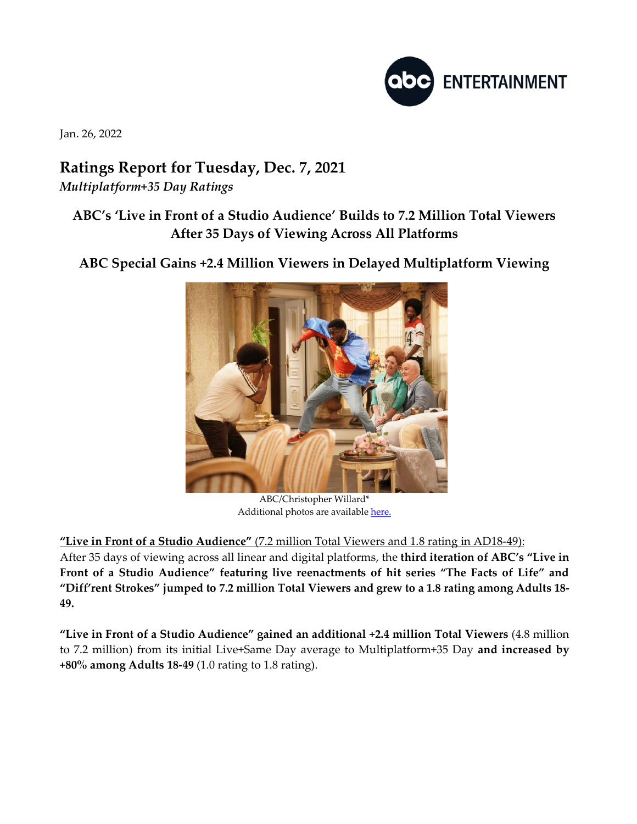

Jan. 26, 2022

## **Ratings Report for Tuesday, Dec. 7, 2021** *Multiplatform+35 Day Ratings*

## **ABC's 'Live in Front of a Studio Audience' Builds to 7.2 Million Total Viewers After 35 Days of Viewing Across All Platforms**

**ABC Special Gains +2.4 Million Viewers in Delayed Multiplatform Viewing**



ABC/Christopher Willard\* Additional photos are availabl[e here.](https://www.dgepress.com/abc/shows/)

**"Live in Front of a Studio Audience"** (7.2 million Total Viewers and 1.8 rating in AD18-49):

After 35 days of viewing across all linear and digital platforms, the **third iteration of ABC's "Live in Front of a Studio Audience" featuring live reenactments of hit series "The Facts of Life" and "Diff'rent Strokes" jumped to 7.2 million Total Viewers and grew to a 1.8 rating among Adults 18- 49.**

**"Live in Front of a Studio Audience" gained an additional +2.4 million Total Viewers** (4.8 million to 7.2 million) from its initial Live+Same Day average to Multiplatform+35 Day **and increased by +80% among Adults 18-49** (1.0 rating to 1.8 rating).